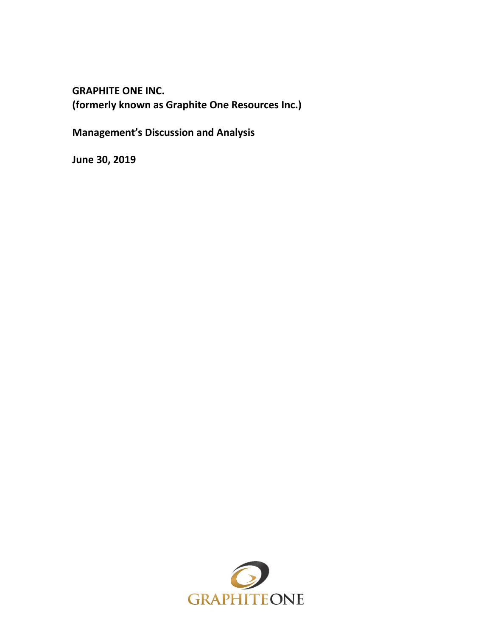**GRAPHITE ONE INC. (formerly known as Graphite One Resources Inc.)**

**Management's Discussion and Analysis**

**June 30, 2019**

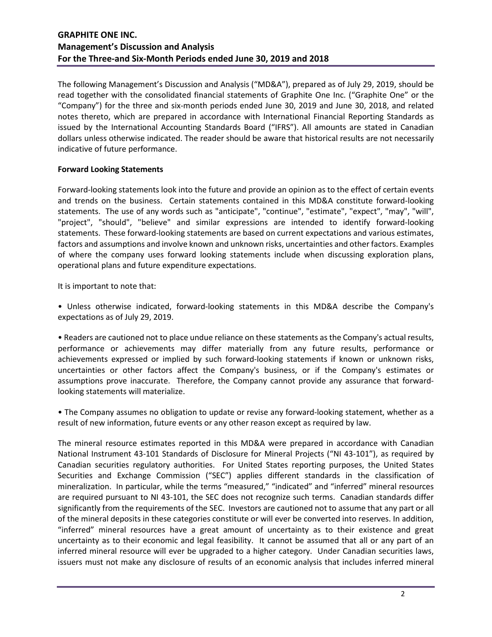The following Management's Discussion and Analysis ("MD&A"), prepared as of July 29, 2019, should be read together with the consolidated financial statements of Graphite One Inc. ("Graphite One" or the "Company") for the three and six-month periods ended June 30, 2019 and June 30, 2018, and related notes thereto, which are prepared in accordance with International Financial Reporting Standards as issued by the International Accounting Standards Board ("IFRS"). All amounts are stated in Canadian dollars unless otherwise indicated. The reader should be aware that historical results are not necessarily indicative of future performance.

## **Forward Looking Statements**

Forward-looking statements look into the future and provide an opinion as to the effect of certain events and trends on the business. Certain statements contained in this MD&A constitute forward-looking statements. The use of any words such as "anticipate", "continue", "estimate", "expect", "may", "will", "project", "should", "believe" and similar expressions are intended to identify forward-looking statements. These forward-looking statements are based on current expectations and various estimates, factors and assumptions and involve known and unknown risks, uncertainties and other factors. Examples of where the company uses forward looking statements include when discussing exploration plans, operational plans and future expenditure expectations.

It is important to note that:

• Unless otherwise indicated, forward-looking statements in this MD&A describe the Company's expectations as of July 29, 2019.

• Readers are cautioned not to place undue reliance on these statements as the Company's actual results, performance or achievements may differ materially from any future results, performance or achievements expressed or implied by such forward-looking statements if known or unknown risks, uncertainties or other factors affect the Company's business, or if the Company's estimates or assumptions prove inaccurate. Therefore, the Company cannot provide any assurance that forwardlooking statements will materialize.

• The Company assumes no obligation to update or revise any forward-looking statement, whether as a result of new information, future events or any other reason except as required by law.

The mineral resource estimates reported in this MD&A were prepared in accordance with Canadian National Instrument 43-101 Standards of Disclosure for Mineral Projects ("NI 43-101"), as required by Canadian securities regulatory authorities. For United States reporting purposes, the United States Securities and Exchange Commission ("SEC") applies different standards in the classification of mineralization. In particular, while the terms "measured," "indicated" and "inferred" mineral resources are required pursuant to NI 43-101, the SEC does not recognize such terms. Canadian standards differ significantly from the requirements of the SEC. Investors are cautioned not to assume that any part or all of the mineral deposits in these categories constitute or will ever be converted into reserves. In addition, "inferred" mineral resources have a great amount of uncertainty as to their existence and great uncertainty as to their economic and legal feasibility. It cannot be assumed that all or any part of an inferred mineral resource will ever be upgraded to a higher category. Under Canadian securities laws, issuers must not make any disclosure of results of an economic analysis that includes inferred mineral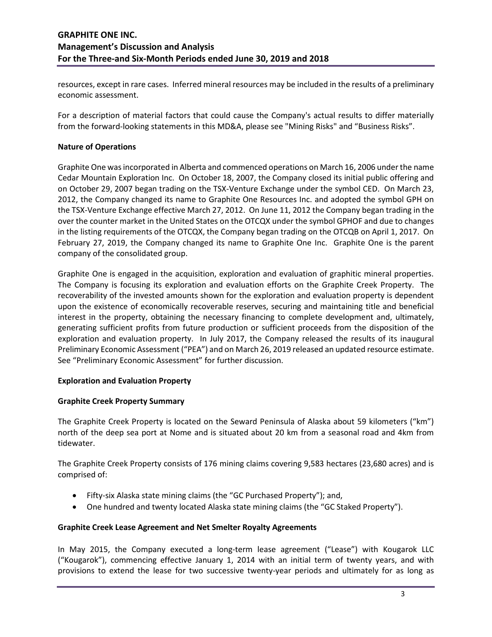resources, except in rare cases. Inferred mineral resources may be included in the results of a preliminary economic assessment.

For a description of material factors that could cause the Company's actual results to differ materially from the forward-looking statements in this MD&A, please see "Mining Risks" and "Business Risks".

### **Nature of Operations**

Graphite One was incorporated in Alberta and commenced operations on March 16, 2006 under the name Cedar Mountain Exploration Inc. On October 18, 2007, the Company closed its initial public offering and on October 29, 2007 began trading on the TSX-Venture Exchange under the symbol CED. On March 23, 2012, the Company changed its name to Graphite One Resources Inc. and adopted the symbol GPH on the TSX-Venture Exchange effective March 27, 2012. On June 11, 2012 the Company began trading in the over the counter market in the United States on the OTCQX under the symbol GPHOF and due to changes in the listing requirements of the OTCQX, the Company began trading on the OTCQB on April 1, 2017. On February 27, 2019, the Company changed its name to Graphite One Inc. Graphite One is the parent company of the consolidated group.

Graphite One is engaged in the acquisition, exploration and evaluation of graphitic mineral properties. The Company is focusing its exploration and evaluation efforts on the Graphite Creek Property. The recoverability of the invested amounts shown for the exploration and evaluation property is dependent upon the existence of economically recoverable reserves, securing and maintaining title and beneficial interest in the property, obtaining the necessary financing to complete development and, ultimately, generating sufficient profits from future production or sufficient proceeds from the disposition of the exploration and evaluation property. In July 2017, the Company released the results of its inaugural Preliminary Economic Assessment ("PEA") and on March 26, 2019 released an updated resource estimate. See "Preliminary Economic Assessment" for further discussion.

### **Exploration and Evaluation Property**

### **Graphite Creek Property Summary**

The Graphite Creek Property is located on the Seward Peninsula of Alaska about 59 kilometers ("km") north of the deep sea port at Nome and is situated about 20 km from a seasonal road and 4km from tidewater.

The Graphite Creek Property consists of 176 mining claims covering 9,583 hectares (23,680 acres) and is comprised of:

- Fifty-six Alaska state mining claims (the "GC Purchased Property"); and,
- One hundred and twenty located Alaska state mining claims (the "GC Staked Property").

### **Graphite Creek Lease Agreement and Net Smelter Royalty Agreements**

In May 2015, the Company executed a long-term lease agreement ("Lease") with Kougarok LLC ("Kougarok"), commencing effective January 1, 2014 with an initial term of twenty years, and with provisions to extend the lease for two successive twenty-year periods and ultimately for as long as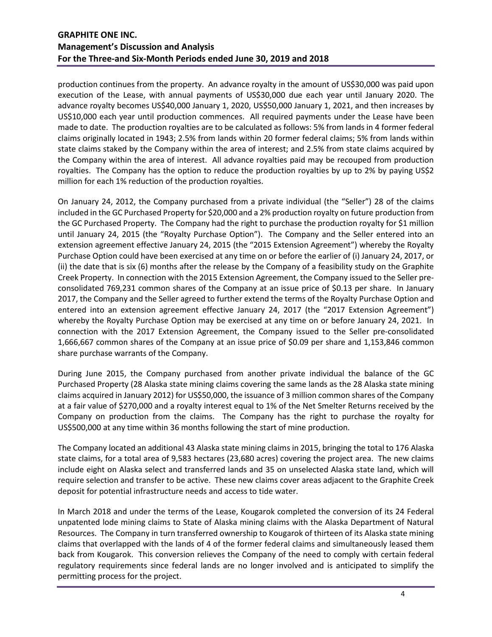production continues from the property. An advance royalty in the amount of US\$30,000 was paid upon execution of the Lease, with annual payments of US\$30,000 due each year until January 2020. The advance royalty becomes US\$40,000 January 1, 2020, US\$50,000 January 1, 2021, and then increases by US\$10,000 each year until production commences. All required payments under the Lease have been made to date. The production royalties are to be calculated as follows: 5% from lands in 4 former federal claims originally located in 1943; 2.5% from lands within 20 former federal claims; 5% from lands within state claims staked by the Company within the area of interest; and 2.5% from state claims acquired by the Company within the area of interest. All advance royalties paid may be recouped from production royalties. The Company has the option to reduce the production royalties by up to 2% by paying US\$2 million for each 1% reduction of the production royalties.

On January 24, 2012, the Company purchased from a private individual (the "Seller") 28 of the claims included in the GC Purchased Property for \$20,000 and a 2% production royalty on future production from the GC Purchased Property. The Company had the right to purchase the production royalty for \$1 million until January 24, 2015 (the "Royalty Purchase Option"). The Company and the Seller entered into an extension agreement effective January 24, 2015 (the "2015 Extension Agreement") whereby the Royalty Purchase Option could have been exercised at any time on or before the earlier of (i) January 24, 2017, or (ii) the date that is six (6) months after the release by the Company of a feasibility study on the Graphite Creek Property. In connection with the 2015 Extension Agreement, the Company issued to the Seller preconsolidated 769,231 common shares of the Company at an issue price of \$0.13 per share. In January 2017, the Company and the Seller agreed to further extend the terms of the Royalty Purchase Option and entered into an extension agreement effective January 24, 2017 (the "2017 Extension Agreement") whereby the Royalty Purchase Option may be exercised at any time on or before January 24, 2021. In connection with the 2017 Extension Agreement, the Company issued to the Seller pre-consolidated 1,666,667 common shares of the Company at an issue price of \$0.09 per share and 1,153,846 common share purchase warrants of the Company.

During June 2015, the Company purchased from another private individual the balance of the GC Purchased Property (28 Alaska state mining claims covering the same lands as the 28 Alaska state mining claims acquired in January 2012) for US\$50,000, the issuance of 3 million common shares of the Company at a fair value of \$270,000 and a royalty interest equal to 1% of the Net Smelter Returns received by the Company on production from the claims. The Company has the right to purchase the royalty for US\$500,000 at any time within 36 months following the start of mine production.

The Company located an additional 43 Alaska state mining claims in 2015, bringing the total to 176 Alaska state claims, for a total area of 9,583 hectares (23,680 acres) covering the project area. The new claims include eight on Alaska select and transferred lands and 35 on unselected Alaska state land, which will require selection and transfer to be active. These new claims cover areas adjacent to the Graphite Creek deposit for potential infrastructure needs and access to tide water.

In March 2018 and under the terms of the Lease, Kougarok completed the conversion of its 24 Federal unpatented lode mining claims to State of Alaska mining claims with the Alaska Department of Natural Resources. The Company in turn transferred ownership to Kougarok of thirteen of its Alaska state mining claims that overlapped with the lands of 4 of the former federal claims and simultaneously leased them back from Kougarok. This conversion relieves the Company of the need to comply with certain federal regulatory requirements since federal lands are no longer involved and is anticipated to simplify the permitting process for the project.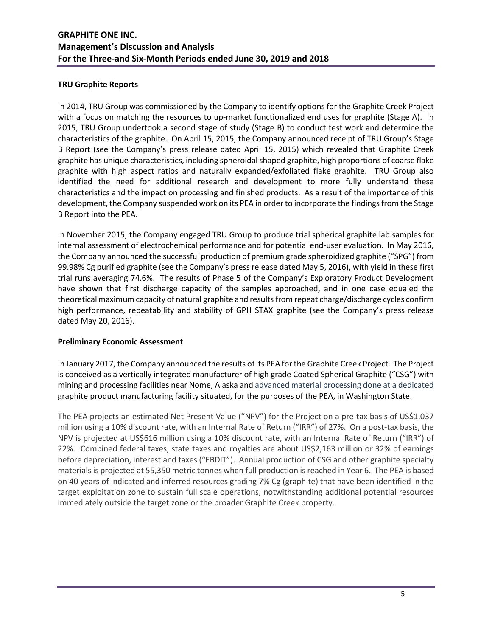### **TRU Graphite Reports**

In 2014, TRU Group was commissioned by the Company to identify options for the Graphite Creek Project with a focus on matching the resources to up-market functionalized end uses for graphite (Stage A). In 2015, TRU Group undertook a second stage of study (Stage B) to conduct test work and determine the characteristics of the graphite. On April 15, 2015, the Company announced receipt of TRU Group's Stage B Report (see the Company's press release dated April 15, 2015) which revealed that Graphite Creek graphite has unique characteristics, including spheroidal shaped graphite, high proportions of coarse flake graphite with high aspect ratios and naturally expanded/exfoliated flake graphite. TRU Group also identified the need for additional research and development to more fully understand these characteristics and the impact on processing and finished products. As a result of the importance of this development, the Company suspended work on its PEA in order to incorporate the findings from the Stage B Report into the PEA.

In November 2015, the Company engaged TRU Group to produce trial spherical graphite lab samples for internal assessment of electrochemical performance and for potential end-user evaluation. In May 2016, the Company announced the successful production of premium grade spheroidized graphite ("SPG") from 99.98% Cg purified graphite (see the Company's press release dated May 5, 2016), with yield in these first trial runs averaging 74.6%. The results of Phase 5 of the Company's Exploratory Product Development have shown that first discharge capacity of the samples approached, and in one case equaled the theoretical maximum capacity of natural graphite and results from repeat charge/discharge cycles confirm high performance, repeatability and stability of GPH STAX graphite (see the Company's press release dated May 20, 2016).

### **Preliminary Economic Assessment**

In January 2017, the Company announced the results of its PEA for the Graphite Creek Project. The Project is conceived as a vertically integrated manufacturer of high grade Coated Spherical Graphite ("CSG") with mining and processing facilities near Nome, Alaska and advanced material processing done at a dedicated graphite product manufacturing facility situated, for the purposes of the PEA, in Washington State.

The PEA projects an estimated Net Present Value ("NPV") for the Project on a pre-tax basis of US\$1,037 million using a 10% discount rate, with an Internal Rate of Return ("IRR") of 27%. On a post-tax basis, the NPV is projected at US\$616 million using a 10% discount rate, with an Internal Rate of Return ("IRR") of 22%. Combined federal taxes, state taxes and royalties are about US\$2,163 million or 32% of earnings before depreciation, interest and taxes ("EBDIT"). Annual production of CSG and other graphite specialty materials is projected at 55,350 metric tonnes when full production is reached in Year 6. The PEA is based on 40 years of indicated and inferred resources grading 7% Cg (graphite) that have been identified in the target exploitation zone to sustain full scale operations, notwithstanding additional potential resources immediately outside the target zone or the broader Graphite Creek property.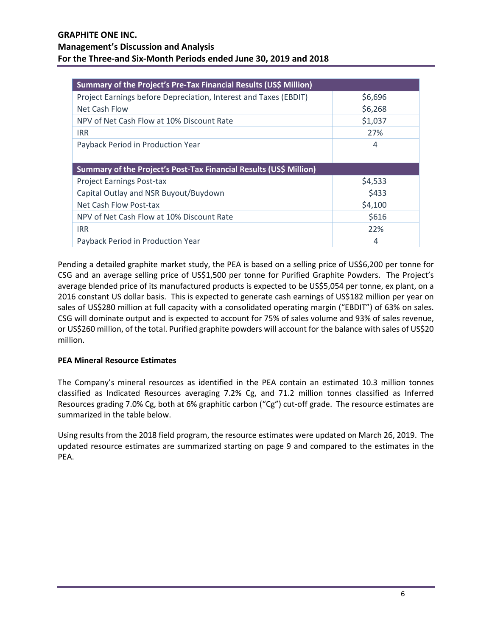| Summary of the Project's Pre-Tax Financial Results (US\$ Million)  |         |  |  |  |  |  |  |
|--------------------------------------------------------------------|---------|--|--|--|--|--|--|
| Project Earnings before Depreciation, Interest and Taxes (EBDIT)   | \$6,696 |  |  |  |  |  |  |
| Net Cash Flow                                                      | \$6,268 |  |  |  |  |  |  |
| NPV of Net Cash Flow at 10% Discount Rate                          | \$1,037 |  |  |  |  |  |  |
| <b>IRR</b>                                                         | 27%     |  |  |  |  |  |  |
| Payback Period in Production Year                                  | 4       |  |  |  |  |  |  |
|                                                                    |         |  |  |  |  |  |  |
| Summary of the Project's Post-Tax Financial Results (US\$ Million) |         |  |  |  |  |  |  |
| <b>Project Earnings Post-tax</b>                                   | \$4,533 |  |  |  |  |  |  |
| Capital Outlay and NSR Buyout/Buydown                              | \$433   |  |  |  |  |  |  |
| Net Cash Flow Post-tax                                             | \$4,100 |  |  |  |  |  |  |
| NPV of Net Cash Flow at 10% Discount Rate                          | \$616   |  |  |  |  |  |  |
| <b>IRR</b>                                                         | 22%     |  |  |  |  |  |  |
| Payback Period in Production Year                                  | 4       |  |  |  |  |  |  |

Pending a detailed graphite market study, the PEA is based on a selling price of US\$6,200 per tonne for CSG and an average selling price of US\$1,500 per tonne for Purified Graphite Powders. The Project's average blended price of its manufactured products is expected to be US\$5,054 per tonne, ex plant, on a 2016 constant US dollar basis. This is expected to generate cash earnings of US\$182 million per year on sales of US\$280 million at full capacity with a consolidated operating margin ("EBDIT") of 63% on sales. CSG will dominate output and is expected to account for 75% of sales volume and 93% of sales revenue, or US\$260 million, of the total. Purified graphite powders will account for the balance with sales of US\$20 million.

# **PEA Mineral Resource Estimates**

The Company's mineral resources as identified in the PEA contain an estimated 10.3 million tonnes classified as Indicated Resources averaging 7.2% Cg, and 71.2 million tonnes classified as Inferred Resources grading 7.0% Cg, both at 6% graphitic carbon ("Cg") cut-off grade. The resource estimates are summarized in the table below.

Using results from the 2018 field program, the resource estimates were updated on March 26, 2019. The updated resource estimates are summarized starting on page 9 and compared to the estimates in the PEA.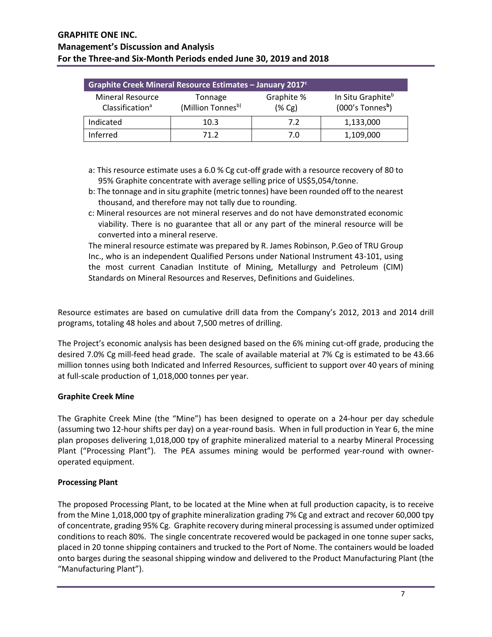| Graphite Creek Mineral Resource Estimates - January 2017 <sup>c</sup> |                              |                         |                                                                 |  |  |  |  |  |
|-----------------------------------------------------------------------|------------------------------|-------------------------|-----------------------------------------------------------------|--|--|--|--|--|
| <b>Mineral Resource</b><br>Classification <sup>a</sup>                | Tonnage<br>(Million Tonnesb) | Graphite %<br>$(\% Cg)$ | In Situ Graphite <sup>b</sup><br>$(000's$ Tonnes <sup>b</sup> ) |  |  |  |  |  |
| Indicated                                                             | 10.3                         | 7.2                     | 1,133,000                                                       |  |  |  |  |  |
| Inferred                                                              | 71 2                         | 7.0                     | 1,109,000                                                       |  |  |  |  |  |

- a: This resource estimate uses a 6.0 % Cg cut-off grade with a resource recovery of 80 to 95% Graphite concentrate with average selling price of US\$5,054/tonne.
- b: The tonnage and in situ graphite (metric tonnes) have been rounded off to the nearest thousand, and therefore may not tally due to rounding.
- c: Mineral resources are not mineral reserves and do not have demonstrated economic viability. There is no guarantee that all or any part of the mineral resource will be converted into a mineral reserve.

The mineral resource estimate was prepared by R. James Robinson, P.Geo of TRU Group Inc., who is an independent Qualified Persons under National Instrument 43-101, using the most current Canadian Institute of Mining, Metallurgy and Petroleum (CIM) Standards on Mineral Resources and Reserves, Definitions and Guidelines.

Resource estimates are based on cumulative drill data from the Company's 2012, 2013 and 2014 drill programs, totaling 48 holes and about 7,500 metres of drilling.

The Project's economic analysis has been designed based on the 6% mining cut-off grade, producing the desired 7.0% Cg mill-feed head grade. The scale of available material at 7% Cg is estimated to be 43.66 million tonnes using both Indicated and Inferred Resources, sufficient to support over 40 years of mining at full-scale production of 1,018,000 tonnes per year.

# **Graphite Creek Mine**

The Graphite Creek Mine (the "Mine") has been designed to operate on a 24-hour per day schedule (assuming two 12-hour shifts per day) on a year-round basis. When in full production in Year 6, the mine plan proposes delivering 1,018,000 tpy of graphite mineralized material to a nearby Mineral Processing Plant ("Processing Plant"). The PEA assumes mining would be performed year-round with owneroperated equipment.

### **Processing Plant**

The proposed Processing Plant, to be located at the Mine when at full production capacity, is to receive from the Mine 1,018,000 tpy of graphite mineralization grading 7% Cg and extract and recover 60,000 tpy of concentrate, grading 95% Cg. Graphite recovery during mineral processing is assumed under optimized conditions to reach 80%. The single concentrate recovered would be packaged in one tonne super sacks, placed in 20 tonne shipping containers and trucked to the Port of Nome. The containers would be loaded onto barges during the seasonal shipping window and delivered to the Product Manufacturing Plant (the "Manufacturing Plant").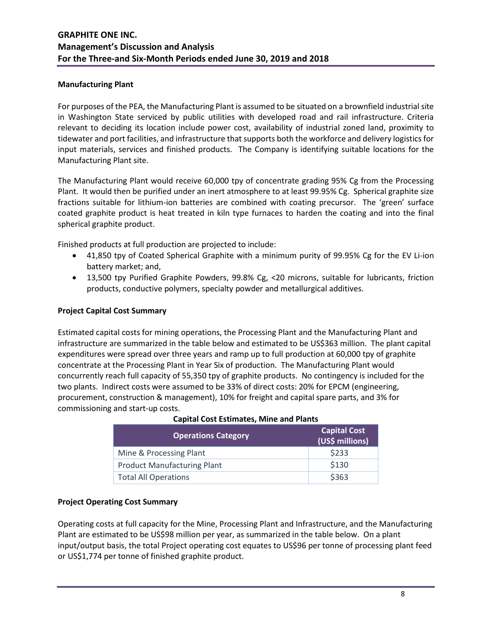### **Manufacturing Plant**

For purposes of the PEA, the Manufacturing Plant is assumed to be situated on a brownfield industrial site in Washington State serviced by public utilities with developed road and rail infrastructure. Criteria relevant to deciding its location include power cost, availability of industrial zoned land, proximity to tidewater and port facilities, and infrastructure that supports both the workforce and delivery logistics for input materials, services and finished products. The Company is identifying suitable locations for the Manufacturing Plant site.

The Manufacturing Plant would receive 60,000 tpy of concentrate grading 95% Cg from the Processing Plant. It would then be purified under an inert atmosphere to at least 99.95% Cg. Spherical graphite size fractions suitable for lithium-ion batteries are combined with coating precursor. The 'green' surface coated graphite product is heat treated in kiln type furnaces to harden the coating and into the final spherical graphite product.

Finished products at full production are projected to include:

- 41,850 tpy of Coated Spherical Graphite with a minimum purity of 99.95% Cg for the EV Li-ion battery market; and,
- 13,500 tpy Purified Graphite Powders, 99.8% Cg, <20 microns, suitable for lubricants, friction products, conductive polymers, specialty powder and metallurgical additives.

## **Project Capital Cost Summary**

Estimated capital costs for mining operations, the Processing Plant and the Manufacturing Plant and infrastructure are summarized in the table below and estimated to be US\$363 million. The plant capital expenditures were spread over three years and ramp up to full production at 60,000 tpy of graphite concentrate at the Processing Plant in Year Six of production. The Manufacturing Plant would concurrently reach full capacity of 55,350 tpy of graphite products. No contingency is included for the two plants. Indirect costs were assumed to be 33% of direct costs: 20% for EPCM (engineering, procurement, construction & management), 10% for freight and capital spare parts, and 3% for commissioning and start-up costs.

| <b>Operations Category</b>         | <b>Capital Cost</b><br>(US\$ millions) |
|------------------------------------|----------------------------------------|
| Mine & Processing Plant            | \$233                                  |
| <b>Product Manufacturing Plant</b> | \$130                                  |
| <b>Total All Operations</b>        | \$363                                  |

### **Capital Cost Estimates, Mine and Plants**

### **Project Operating Cost Summary**

Operating costs at full capacity for the Mine, Processing Plant and Infrastructure, and the Manufacturing Plant are estimated to be US\$98 million per year, as summarized in the table below. On a plant input/output basis, the total Project operating cost equates to US\$96 per tonne of processing plant feed or US\$1,774 per tonne of finished graphite product.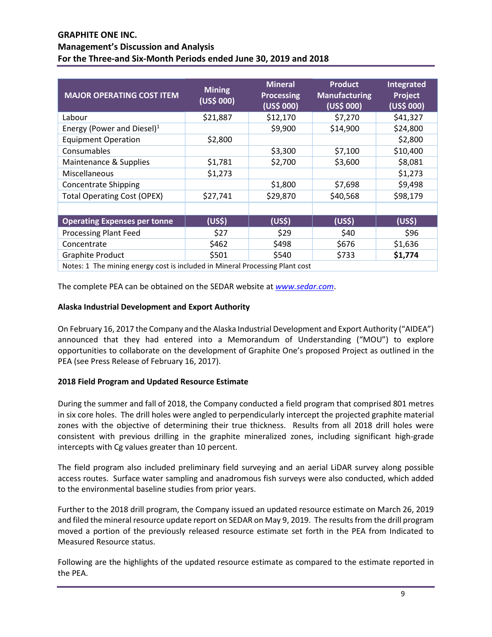| <b>MAJOR OPERATING COST ITEM</b>                                             | <b>Mining</b><br>(US\$000) | <b>Mineral</b><br><b>Processing</b><br>(US\$ 000) | <b>Product</b><br><b>Manufacturing</b><br>(US\$000) | <b>Integrated</b><br>Project<br>(US\$ 000) |  |  |  |  |  |
|------------------------------------------------------------------------------|----------------------------|---------------------------------------------------|-----------------------------------------------------|--------------------------------------------|--|--|--|--|--|
| Labour                                                                       | \$21,887                   | \$12,170                                          | \$7,270                                             | \$41,327                                   |  |  |  |  |  |
| Energy (Power and Diesel) <sup>1</sup>                                       |                            | \$9,900                                           | \$14,900                                            | \$24,800                                   |  |  |  |  |  |
| <b>Equipment Operation</b>                                                   | \$2,800                    |                                                   |                                                     | \$2,800                                    |  |  |  |  |  |
| Consumables                                                                  |                            | \$3,300                                           | \$7,100                                             | \$10,400                                   |  |  |  |  |  |
| Maintenance & Supplies                                                       | \$1,781                    | \$2,700                                           | \$3,600                                             | \$8,081                                    |  |  |  |  |  |
| Miscellaneous                                                                | \$1,273                    |                                                   |                                                     | \$1,273                                    |  |  |  |  |  |
| <b>Concentrate Shipping</b>                                                  |                            | \$1,800                                           | \$7,698                                             | \$9,498                                    |  |  |  |  |  |
| <b>Total Operating Cost (OPEX)</b>                                           | \$27,741                   | \$29,870                                          | \$40,568                                            | \$98,179                                   |  |  |  |  |  |
|                                                                              |                            |                                                   |                                                     |                                            |  |  |  |  |  |
| <b>Operating Expenses per tonne</b>                                          | (US\$)                     | (US <sup>5</sup> )                                | (US\$)                                              | (US <sub>5</sub> )                         |  |  |  |  |  |
| <b>Processing Plant Feed</b>                                                 | \$27                       | \$29                                              | \$40                                                | \$96                                       |  |  |  |  |  |
| Concentrate                                                                  | \$462                      | \$498                                             | \$676                                               | \$1,636                                    |  |  |  |  |  |
| <b>Graphite Product</b>                                                      | \$501                      | \$540                                             | \$733                                               | \$1,774                                    |  |  |  |  |  |
| Notes: 1 The mining energy cost is included in Mineral Processing Plant cost |                            |                                                   |                                                     |                                            |  |  |  |  |  |

The complete PEA can be obtained on the SEDAR website at *[www.sedar.com](https://www.sedar.com/search/search_form_pc_en.htm)*.

## **Alaska Industrial Development and Export Authority**

On February 16, 2017 the Company and the Alaska Industrial Development and Export Authority ("AIDEA") announced that they had entered into a Memorandum of Understanding ("MOU") to explore opportunities to collaborate on the development of Graphite One's proposed Project as outlined in the PEA (see Press Release of February 16, 2017).

### **2018 Field Program and Updated Resource Estimate**

During the summer and fall of 2018, the Company conducted a field program that comprised 801 metres in six core holes. The drill holes were angled to perpendicularly intercept the projected graphite material zones with the objective of determining their true thickness. Results from all 2018 drill holes were consistent with previous drilling in the graphite mineralized zones, including significant high-grade intercepts with Cg values greater than 10 percent.

The field program also included preliminary field surveying and an aerial LiDAR survey along possible access routes. Surface water sampling and anadromous fish surveys were also conducted, which added to the environmental baseline studies from prior years.

Further to the 2018 drill program, the Company issued an updated resource estimate on March 26, 2019 and filed the mineral resource update report on SEDAR on May 9, 2019. The results from the drill program moved a portion of the previously released resource estimate set forth in the PEA from Indicated to Measured Resource status.

Following are the highlights of the updated resource estimate as compared to the estimate reported in the PEA.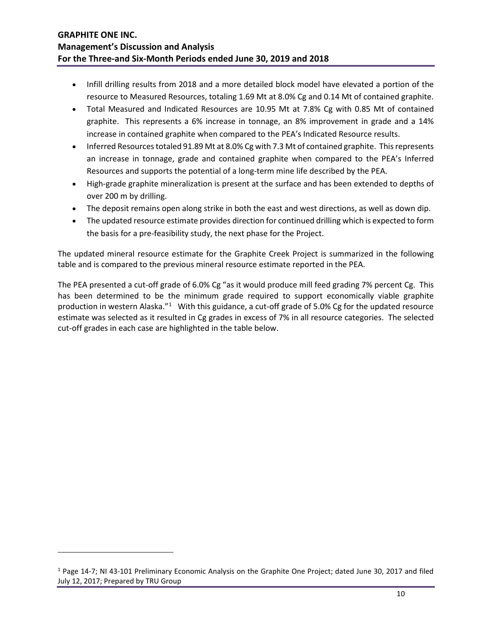- Infill drilling results from 2018 and a more detailed block model have elevated a portion of the resource to Measured Resources, totaling 1.69 Mt at 8.0% Cg and 0.14 Mt of contained graphite.
- Total Measured and Indicated Resources are 10.95 Mt at 7.8% Cg with 0.85 Mt of contained graphite. This represents a 6% increase in tonnage, an 8% improvement in grade and a 14% increase in contained graphite when compared to the PEA's Indicated Resource results.
- Inferred Resources totaled 91.89 Mt at 8.0% Cg with 7.3 Mt of contained graphite. This represents an increase in tonnage, grade and contained graphite when compared to the PEA's Inferred Resources and supports the potential of a long-term mine life described by the PEA.
- High-grade graphite mineralization is present at the surface and has been extended to depths of over 200 m by drilling.
- The deposit remains open along strike in both the east and west directions, as well as down dip.
- The updated resource estimate provides direction for continued drilling which is expected to form the basis for a pre-feasibility study, the next phase for the Project.

The updated mineral resource estimate for the Graphite Creek Project is summarized in the following table and is compared to the previous mineral resource estimate reported in the PEA.

The PEA presented a cut-off grade of 6.0% Cg "as it would produce mill feed grading 7% percent Cg. This has been determined to be the minimum grade required to support economically viable graphite production in western Alaska."<sup>[1](#page-9-0)</sup> With this guidance, a cut-off grade of 5.0% Cg for the updated resource estimate was selected as it resulted in Cg grades in excess of 7% in all resource categories. The selected cut-off grades in each case are highlighted in the table below.

 $\overline{\phantom{a}}$ 

<span id="page-9-0"></span><sup>1</sup> Page 14-7; NI 43-101 Preliminary Economic Analysis on the Graphite One Project; dated June 30, 2017 and filed July 12, 2017; Prepared by TRU Group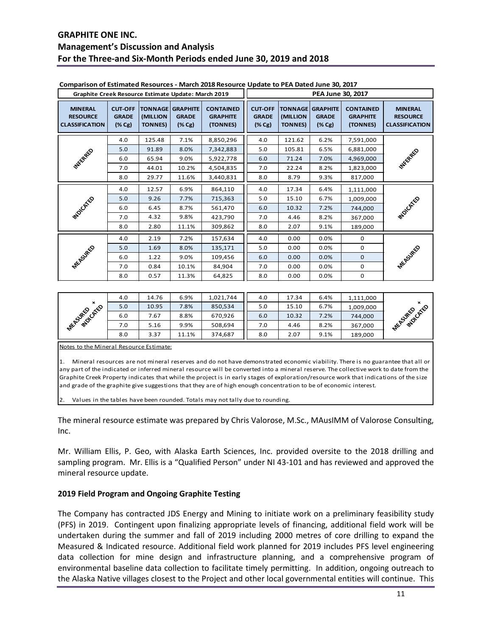| Graphite Creek Resource Estimate Update: March 2019        |                                                       |                             |                                                                | PEA June 30, 2017                               |                                                       |                            |                                                                |                                                 |                                                            |
|------------------------------------------------------------|-------------------------------------------------------|-----------------------------|----------------------------------------------------------------|-------------------------------------------------|-------------------------------------------------------|----------------------------|----------------------------------------------------------------|-------------------------------------------------|------------------------------------------------------------|
| <b>MINERAL</b><br><b>RESOURCE</b><br><b>CLASSIFICATION</b> | <b>CUT-OFF</b><br><b>GRADE</b><br>$(\% \, \text{Cg})$ | (MILLION<br><b>TONNES</b> ) | <b>TONNAGE GRAPHITE</b><br><b>GRADE</b><br>$(\% \, \text{Cg})$ | <b>CONTAINED</b><br><b>GRAPHITE</b><br>(TONNES) | <b>CUT-OFF</b><br><b>GRADE</b><br>$(\% \, \text{Cg})$ | (MILLION<br><b>TONNES)</b> | <b>TONNAGE GRAPHITE</b><br><b>GRADE</b><br>$(\% \, \text{Cg})$ | <b>CONTAINED</b><br><b>GRAPHITE</b><br>(TONNES) | <b>MINERAL</b><br><b>RESOURCE</b><br><b>CLASSIFICATION</b> |
|                                                            | 4.0                                                   | 125.48                      | 7.1%                                                           | 8,850,296                                       | 4.0                                                   | 121.62                     | 6.2%                                                           | 7,591,000                                       |                                                            |
|                                                            | 5.0                                                   | 91.89                       | 8.0%                                                           | 7,342,883                                       | 5.0                                                   | 105.81                     | 6.5%                                                           | 6,881,000                                       |                                                            |
| <b>MYSCRAEO</b>                                            | 6.0                                                   | 65.94                       | 9.0%                                                           | 5,922,778                                       | 6.0                                                   | 71.24                      | 7.0%                                                           | 4,969,000                                       | <b>PATTEREE</b>                                            |
|                                                            | 7.0                                                   | 44.01                       | 10.2%                                                          | 4,504,835                                       | 7.0                                                   | 22.24                      | 8.2%                                                           | 1,823,000                                       |                                                            |
|                                                            | 8.0                                                   | 29.77                       | 11.6%                                                          | 3,440,831                                       | 8.0                                                   | 8.79                       | 9.3%                                                           | 817,000                                         |                                                            |
|                                                            | 4.0                                                   | 12.57                       | 6.9%                                                           | 864,110                                         | 4.0                                                   | 17.34                      | 6.4%                                                           | 1,111,000                                       |                                                            |
|                                                            | 5.0                                                   | 9.26                        | 7.7%                                                           | 715,363                                         | 5.0                                                   | 15.10                      | 6.7%                                                           | 1,009,000                                       |                                                            |
| <b>MOVOSTEE</b>                                            | 6.0                                                   | 6.45                        | 8.7%                                                           | 561,470                                         | 6.0                                                   | 10.32                      | 7.2%                                                           | 744,000                                         | <b>MOILLETED</b>                                           |
|                                                            | 7.0                                                   | 4.32                        | 9.8%                                                           | 423,790                                         | 7.0                                                   | 4.46                       | 8.2%                                                           | 367,000                                         |                                                            |
|                                                            | 8.0                                                   | 2.80                        | 11.1%                                                          | 309,862                                         | 8.0                                                   | 2.07                       | 9.1%                                                           | 189,000                                         |                                                            |
|                                                            | 4.0                                                   | 2.19                        | 7.2%                                                           | 157,634                                         | 4.0                                                   | 0.00                       | 0.0%                                                           | 0                                               |                                                            |
|                                                            | 5.0                                                   | 1.69                        | 8.0%                                                           | 135,171                                         | 5.0                                                   | 0.00                       | 0.0%                                                           | 0                                               |                                                            |
|                                                            | 6.0                                                   | 1.22                        | 9.0%                                                           | 109,456                                         | 6.0                                                   | 0.00                       | 0.0%                                                           | $\mathbf{0}$                                    |                                                            |
| <b>MEASURED</b>                                            | 7.0                                                   | 0.84                        | 10.1%                                                          | 84,904                                          | 7.0                                                   | 0.00                       | 0.0%                                                           | 0                                               | <b>MEASURED</b>                                            |
|                                                            | 8.0                                                   | 0.57                        | 11.3%                                                          | 64,825                                          | 8.0                                                   | 0.00                       | 0.0%                                                           | 0                                               |                                                            |

#### **Comparison of Estimated Resources - March 2018 Resource Update to PEA Dated June 30, 2017**

|                           | 4.0 | 14.76 | 6.9%  | 1,021,744 | 4.0 | 17.34 | 6.4% | 1,111,000 |                  |
|---------------------------|-----|-------|-------|-----------|-----|-------|------|-----------|------------------|
| $\boldsymbol{\mathsf{x}}$ | 5.0 | 10.95 | .8%   | 850,534   | 5.0 | 15.10 | 6.7% | 1,009,000 | ×                |
| <b>PHOTOSITES</b>         | 6.0 | .67   | 8.8%  | 670,926   | 6.0 | 10.32 | 7.2% | 744,000   | <b>MUDICATED</b> |
| <b>MEASURED</b>           | 7.0 | 5.16  | 9.9%  | 508,694   | 7.0 | 4.46  | 8.2% | 367,000   | <b>MEASURED</b>  |
|                           | 8.0 | 3.37  | 11.1% | 374,687   | 8.0 | 2.07  | 9.1% | 189,000   |                  |

Notes to the Mineral Resource Estimate:

1. Mineral resources are not mineral reserves and do not have demonstrated economic viability. There is no guarantee that all or any part of the indicated or inferred mineral resource will be converted into a mineral reserve. The collective work to date from the Graphite Creek Property indicates that while the project is in early stages of exploration/resource work that indications of the size and grade of the graphite give suggestions that they are of high enough concentration to be of economic interest.

Values in the tables have been rounded. Totals may not tally due to rounding.

The mineral resource estimate was prepared by Chris Valorose, M.Sc., MAusIMM of Valorose Consulting, Inc.

Mr. William Ellis, P. Geo, with Alaska Earth Sciences, Inc. provided oversite to the 2018 drilling and sampling program. Mr. Ellis is a "Qualified Person" under NI 43-101 and has reviewed and approved the mineral resource update.

### **2019 Field Program and Ongoing Graphite Testing**

The Company has contracted JDS Energy and Mining to initiate work on a preliminary feasibility study (PFS) in 2019. Contingent upon finalizing appropriate levels of financing, additional field work will be undertaken during the summer and fall of 2019 including 2000 metres of core drilling to expand the Measured & Indicated resource. Additional field work planned for 2019 includes PFS level engineering data collection for mine design and infrastructure planning, and a comprehensive program of environmental baseline data collection to facilitate timely permitting. In addition, ongoing outreach to the Alaska Native villages closest to the Project and other local governmental entities will continue. This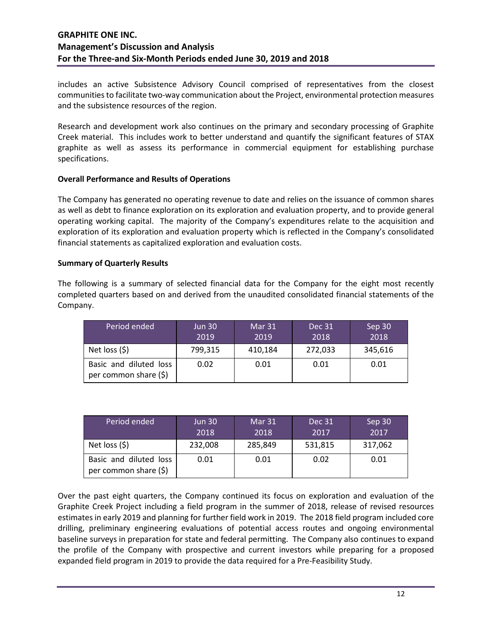includes an active Subsistence Advisory Council comprised of representatives from the closest communitiesto facilitate two-way communication about the Project, environmental protection measures and the subsistence resources of the region.

Research and development work also continues on the primary and secondary processing of Graphite Creek material. This includes work to better understand and quantify the significant features of STAX graphite as well as assess its performance in commercial equipment for establishing purchase specifications.

## **Overall Performance and Results of Operations**

The Company has generated no operating revenue to date and relies on the issuance of common shares as well as debt to finance exploration on its exploration and evaluation property, and to provide general operating working capital. The majority of the Company's expenditures relate to the acquisition and exploration of its exploration and evaluation property which is reflected in the Company's consolidated financial statements as capitalized exploration and evaluation costs.

## **Summary of Quarterly Results**

The following is a summary of selected financial data for the Company for the eight most recently completed quarters based on and derived from the unaudited consolidated financial statements of the Company.

| Period ended                                    | <b>Jun 30</b><br>2019 | Mar 31<br>2019 | Dec 31<br>2018 | Sep 30<br>2018 |
|-------------------------------------------------|-----------------------|----------------|----------------|----------------|
| Net loss $(5)$                                  | 799,315               | 410,184        | 272,033        | 345,616        |
| Basic and diluted loss<br>per common share (\$) | 0.02                  | 0.01           | 0.01           | 0.01           |

| Period ended                                    | <b>Jun 30</b><br>2018 | Mar 31<br>2018 | Dec 31<br>2017 | Sep 30<br>2017 |
|-------------------------------------------------|-----------------------|----------------|----------------|----------------|
| Net loss $(5)$                                  | 232,008               | 285,849        | 531,815        | 317,062        |
| Basic and diluted loss<br>per common share (\$) | 0.01                  | 0.01           | 0.02           | 0.01           |

Over the past eight quarters, the Company continued its focus on exploration and evaluation of the Graphite Creek Project including a field program in the summer of 2018, release of revised resources estimates in early 2019 and planning for further field work in 2019. The 2018 field program included core drilling, preliminary engineering evaluations of potential access routes and ongoing environmental baseline surveys in preparation for state and federal permitting. The Company also continues to expand the profile of the Company with prospective and current investors while preparing for a proposed expanded field program in 2019 to provide the data required for a Pre-Feasibility Study.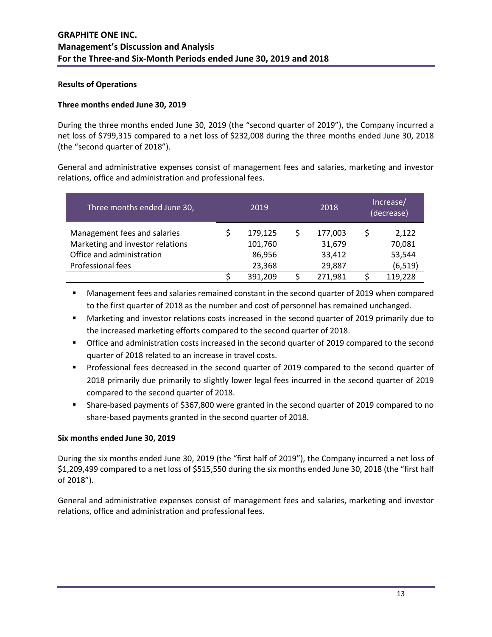### **Results of Operations**

#### **Three months ended June 30, 2019**

During the three months ended June 30, 2019 (the "second quarter of 2019"), the Company incurred a net loss of \$799,315 compared to a net loss of \$232,008 during the three months ended June 30, 2018 (the "second quarter of 2018").

General and administrative expenses consist of management fees and salaries, marketing and investor relations, office and administration and professional fees.

| Three months ended June 30,      | 2019 |         | 2018    | Increase/<br>(decrease) |          |
|----------------------------------|------|---------|---------|-------------------------|----------|
| Management fees and salaries     |      | 179,125 | 177,003 |                         | 2,122    |
| Marketing and investor relations |      | 101,760 | 31,679  |                         | 70,081   |
| Office and administration        |      | 86,956  | 33,412  |                         | 53,544   |
| Professional fees                |      | 23,368  | 29,887  |                         | (6, 519) |
|                                  |      | 391,209 | 271,981 |                         | 119,228  |

 Management fees and salaries remained constant in the second quarter of 2019 when compared to the first quarter of 2018 as the number and cost of personnel has remained unchanged.

- Marketing and investor relations costs increased in the second quarter of 2019 primarily due to the increased marketing efforts compared to the second quarter of 2018.
- **•** Office and administration costs increased in the second quarter of 2019 compared to the second quarter of 2018 related to an increase in travel costs.
- **Professional fees decreased in the second quarter of 2019 compared to the second quarter of** 2018 primarily due primarily to slightly lower legal fees incurred in the second quarter of 2019 compared to the second quarter of 2018.
- Share-based payments of \$367,800 were granted in the second quarter of 2019 compared to no share-based payments granted in the second quarter of 2018.

### **Six months ended June 30, 2019**

During the six months ended June 30, 2019 (the "first half of 2019"), the Company incurred a net loss of \$1,209,499 compared to a net loss of \$515,550 during the six months ended June 30, 2018 (the "first half of 2018").

General and administrative expenses consist of management fees and salaries, marketing and investor relations, office and administration and professional fees.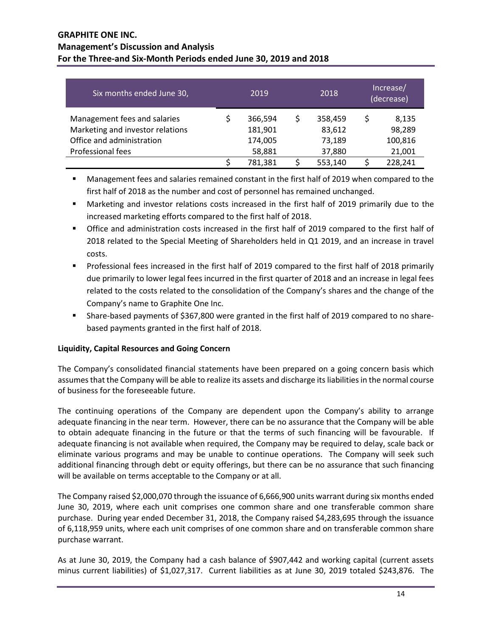| Six months ended June 30,                                        | 2019               | 2018              | Increase/<br>(decrease) |                 |
|------------------------------------------------------------------|--------------------|-------------------|-------------------------|-----------------|
| Management fees and salaries<br>Marketing and investor relations | 366,594<br>181,901 | 358,459<br>83,612 | \$                      | 8,135<br>98,289 |
| Office and administration                                        | 174,005            | 73,189            |                         | 100,816         |
| Professional fees                                                | 58,881             | 37,880            |                         | 21,001          |
|                                                                  | 781,381            | 553,140           |                         | 228,241         |

 Management fees and salaries remained constant in the first half of 2019 when compared to the first half of 2018 as the number and cost of personnel has remained unchanged.

- Marketing and investor relations costs increased in the first half of 2019 primarily due to the increased marketing efforts compared to the first half of 2018.
- Office and administration costs increased in the first half of 2019 compared to the first half of 2018 related to the Special Meeting of Shareholders held in Q1 2019, and an increase in travel costs.
- Professional fees increased in the first half of 2019 compared to the first half of 2018 primarily due primarily to lower legal fees incurred in the first quarter of 2018 and an increase in legal fees related to the costs related to the consolidation of the Company's shares and the change of the Company's name to Graphite One Inc.
- Share-based payments of \$367,800 were granted in the first half of 2019 compared to no sharebased payments granted in the first half of 2018.

# **Liquidity, Capital Resources and Going Concern**

The Company's consolidated financial statements have been prepared on a going concern basis which assumes that the Company will be able to realize its assets and discharge its liabilities in the normal course of business for the foreseeable future.

The continuing operations of the Company are dependent upon the Company's ability to arrange adequate financing in the near term. However, there can be no assurance that the Company will be able to obtain adequate financing in the future or that the terms of such financing will be favourable. If adequate financing is not available when required, the Company may be required to delay, scale back or eliminate various programs and may be unable to continue operations. The Company will seek such additional financing through debt or equity offerings, but there can be no assurance that such financing will be available on terms acceptable to the Company or at all.

The Company raised \$2,000,070 through the issuance of 6,666,900 units warrant during six months ended June 30, 2019, where each unit comprises one common share and one transferable common share purchase. During year ended December 31, 2018, the Company raised \$4,283,695 through the issuance of 6,118,959 units, where each unit comprises of one common share and on transferable common share purchase warrant.

As at June 30, 2019, the Company had a cash balance of \$907,442 and working capital (current assets minus current liabilities) of \$1,027,317. Current liabilities as at June 30, 2019 totaled \$243,876. The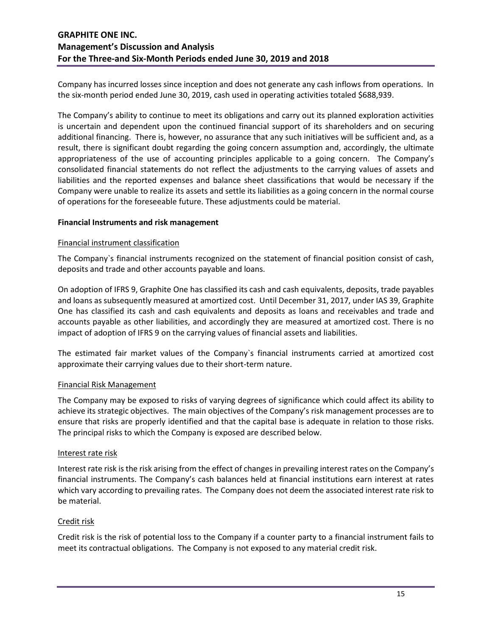Company has incurred losses since inception and does not generate any cash inflows from operations. In the six-month period ended June 30, 2019, cash used in operating activities totaled \$688,939.

The Company's ability to continue to meet its obligations and carry out its planned exploration activities is uncertain and dependent upon the continued financial support of its shareholders and on securing additional financing. There is, however, no assurance that any such initiatives will be sufficient and, as a result, there is significant doubt regarding the going concern assumption and, accordingly, the ultimate appropriateness of the use of accounting principles applicable to a going concern. The Company's consolidated financial statements do not reflect the adjustments to the carrying values of assets and liabilities and the reported expenses and balance sheet classifications that would be necessary if the Company were unable to realize its assets and settle its liabilities as a going concern in the normal course of operations for the foreseeable future. These adjustments could be material.

#### **Financial Instruments and risk management**

#### Financial instrument classification

The Company`s financial instruments recognized on the statement of financial position consist of cash, deposits and trade and other accounts payable and loans.

On adoption of IFRS 9, Graphite One has classified its cash and cash equivalents, deposits, trade payables and loans as subsequently measured at amortized cost. Until December 31, 2017, under IAS 39, Graphite One has classified its cash and cash equivalents and deposits as loans and receivables and trade and accounts payable as other liabilities, and accordingly they are measured at amortized cost. There is no impact of adoption of IFRS 9 on the carrying values of financial assets and liabilities.

The estimated fair market values of the Company`s financial instruments carried at amortized cost approximate their carrying values due to their short-term nature.

#### Financial Risk Management

The Company may be exposed to risks of varying degrees of significance which could affect its ability to achieve its strategic objectives. The main objectives of the Company's risk management processes are to ensure that risks are properly identified and that the capital base is adequate in relation to those risks. The principal risks to which the Company is exposed are described below.

#### Interest rate risk

Interest rate risk is the risk arising from the effect of changes in prevailing interest rates on the Company's financial instruments. The Company's cash balances held at financial institutions earn interest at rates which vary according to prevailing rates. The Company does not deem the associated interest rate risk to be material.

### Credit risk

Credit risk is the risk of potential loss to the Company if a counter party to a financial instrument fails to meet its contractual obligations. The Company is not exposed to any material credit risk.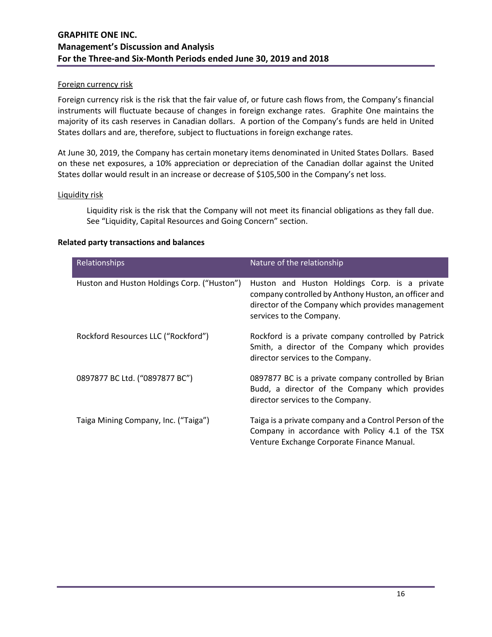#### Foreign currency risk

Foreign currency risk is the risk that the fair value of, or future cash flows from, the Company's financial instruments will fluctuate because of changes in foreign exchange rates. Graphite One maintains the majority of its cash reserves in Canadian dollars. A portion of the Company's funds are held in United States dollars and are, therefore, subject to fluctuations in foreign exchange rates.

At June 30, 2019, the Company has certain monetary items denominated in United States Dollars. Based on these net exposures, a 10% appreciation or depreciation of the Canadian dollar against the United States dollar would result in an increase or decrease of \$105,500 in the Company's net loss.

#### Liquidity risk

Liquidity risk is the risk that the Company will not meet its financial obligations as they fall due. See "Liquidity, Capital Resources and Going Concern" section.

| ed party transactions and balances          |                                                                                                                                                                                        |
|---------------------------------------------|----------------------------------------------------------------------------------------------------------------------------------------------------------------------------------------|
| <b>Relationships</b>                        | Nature of the relationship                                                                                                                                                             |
| Huston and Huston Holdings Corp. ("Huston") | Huston and Huston Holdings Corp. is a private<br>company controlled by Anthony Huston, an officer and<br>director of the Company which provides management<br>services to the Company. |
| Rockford Resources LLC ("Rockford")         | Rockford is a private company controlled by Patrick<br>Smith, a director of the Company which provides<br>director services to the Company.                                            |
| 0897877 BC Ltd. ("0897877 BC")              | 0897877 BC is a private company controlled by Brian<br>Budd, a director of the Company which provides<br>director services to the Company.                                             |
| Taiga Mining Company, Inc. ("Taiga")        | Taiga is a private company and a Control Person of the<br>Company in accordance with Policy 4.1 of the TSX<br>Venture Exchange Corporate Finance Manual.                               |

#### **Relate**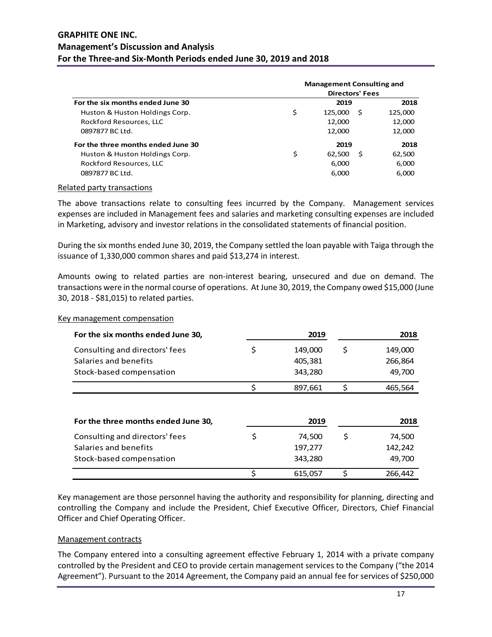|                                    | <b>Management Consulting and</b> |                        |    |         |  |  |
|------------------------------------|----------------------------------|------------------------|----|---------|--|--|
|                                    |                                  | <b>Directors' Fees</b> |    |         |  |  |
| For the six months ended June 30   |                                  | 2019                   |    | 2018    |  |  |
| Huston & Huston Holdings Corp.     | \$                               | 125,000                | .S | 125,000 |  |  |
| Rockford Resources, LLC            |                                  | 12,000                 |    | 12,000  |  |  |
| 0897877 BC Ltd.                    |                                  | 12,000                 |    | 12,000  |  |  |
| For the three months ended June 30 |                                  | 2019                   |    | 2018    |  |  |
| Huston & Huston Holdings Corp.     | \$                               | 62.500                 | Ŝ  | 62,500  |  |  |
| Rockford Resources, LLC            |                                  | 6,000                  |    | 6,000   |  |  |
| 0897877 BC Ltd.                    |                                  | 6,000                  |    | 6,000   |  |  |

#### Related party transactions

The above transactions relate to consulting fees incurred by the Company. Management services expenses are included in Management fees and salaries and marketing consulting expenses are included in Marketing, advisory and investor relations in the consolidated statements of financial position.

During the six months ended June 30, 2019, the Company settled the loan payable with Taiga through the issuance of 1,330,000 common shares and paid \$13,274 in interest.

Amounts owing to related parties are non-interest bearing, unsecured and due on demand. The transactions were in the normal course of operations. At June 30, 2019, the Company owed \$15,000 (June 30, 2018 - \$81,015) to related parties.

| For the six months ended June 30,   | 2019          | 2018          |
|-------------------------------------|---------------|---------------|
| Consulting and directors' fees      | \$<br>149,000 | \$<br>149,000 |
| Salaries and benefits               | 405,381       | 266,864       |
| Stock-based compensation            | 343,280       | 49,700        |
|                                     | 897,661       | \$<br>465,564 |
| For the three months ended June 30, | 2019          | 2018          |
| Consulting and directors' fees      | \$<br>74,500  | \$<br>74,500  |
| Salaries and benefits               | 197,277       | 142,242       |
| Stock-based compensation            | 343,280       | 49,700        |
|                                     | \$<br>615,057 | \$<br>266,442 |

Key management compensation

Key management are those personnel having the authority and responsibility for planning, directing and controlling the Company and include the President, Chief Executive Officer, Directors, Chief Financial Officer and Chief Operating Officer.

#### Management contracts

The Company entered into a consulting agreement effective February 1, 2014 with a private company controlled by the President and CEO to provide certain management services to the Company ("the 2014 Agreement"). Pursuant to the 2014 Agreement, the Company paid an annual fee for services of \$250,000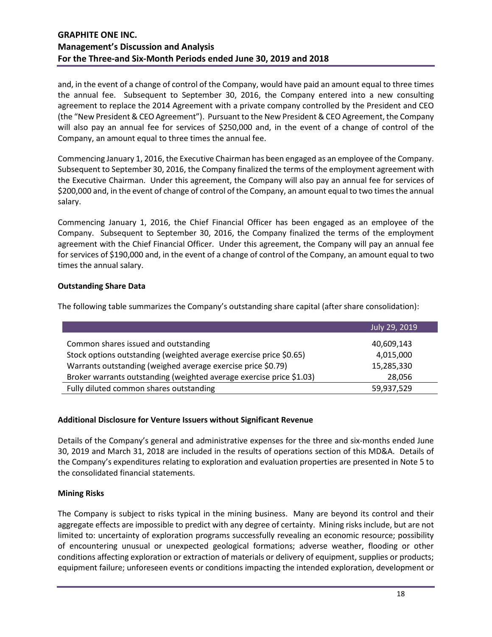and, in the event of a change of control of the Company, would have paid an amount equal to three times the annual fee. Subsequent to September 30, 2016, the Company entered into a new consulting agreement to replace the 2014 Agreement with a private company controlled by the President and CEO (the "New President & CEO Agreement"). Pursuant to the New President & CEO Agreement, the Company will also pay an annual fee for services of \$250,000 and, in the event of a change of control of the Company, an amount equal to three times the annual fee.

Commencing January 1, 2016, the Executive Chairman has been engaged as an employee of the Company. Subsequent to September 30, 2016, the Company finalized the terms of the employment agreement with the Executive Chairman. Under this agreement, the Company will also pay an annual fee for services of \$200,000 and, in the event of change of control of the Company, an amount equal to two times the annual salary.

Commencing January 1, 2016, the Chief Financial Officer has been engaged as an employee of the Company. Subsequent to September 30, 2016, the Company finalized the terms of the employment agreement with the Chief Financial Officer. Under this agreement, the Company will pay an annual fee for services of \$190,000 and, in the event of a change of control of the Company, an amount equal to two times the annual salary.

# **Outstanding Share Data**

The following table summarizes the Company's outstanding share capital (after share consolidation):

|                                                                      | July 29, 2019 |
|----------------------------------------------------------------------|---------------|
| Common shares issued and outstanding                                 | 40,609,143    |
| Stock options outstanding (weighted average exercise price \$0.65)   | 4,015,000     |
| Warrants outstanding (weighed average exercise price \$0.79)         | 15,285,330    |
| Broker warrants outstanding (weighted average exercise price \$1.03) | 28,056        |
| Fully diluted common shares outstanding                              | 59,937,529    |

### **Additional Disclosure for Venture Issuers without Significant Revenue**

Details of the Company's general and administrative expenses for the three and six-months ended June 30, 2019 and March 31, 2018 are included in the results of operations section of this MD&A. Details of the Company's expenditures relating to exploration and evaluation properties are presented in Note 5 to the consolidated financial statements.

### **Mining Risks**

The Company is subject to risks typical in the mining business. Many are beyond its control and their aggregate effects are impossible to predict with any degree of certainty. Mining risks include, but are not limited to: uncertainty of exploration programs successfully revealing an economic resource; possibility of encountering unusual or unexpected geological formations; adverse weather, flooding or other conditions affecting exploration or extraction of materials or delivery of equipment, supplies or products; equipment failure; unforeseen events or conditions impacting the intended exploration, development or